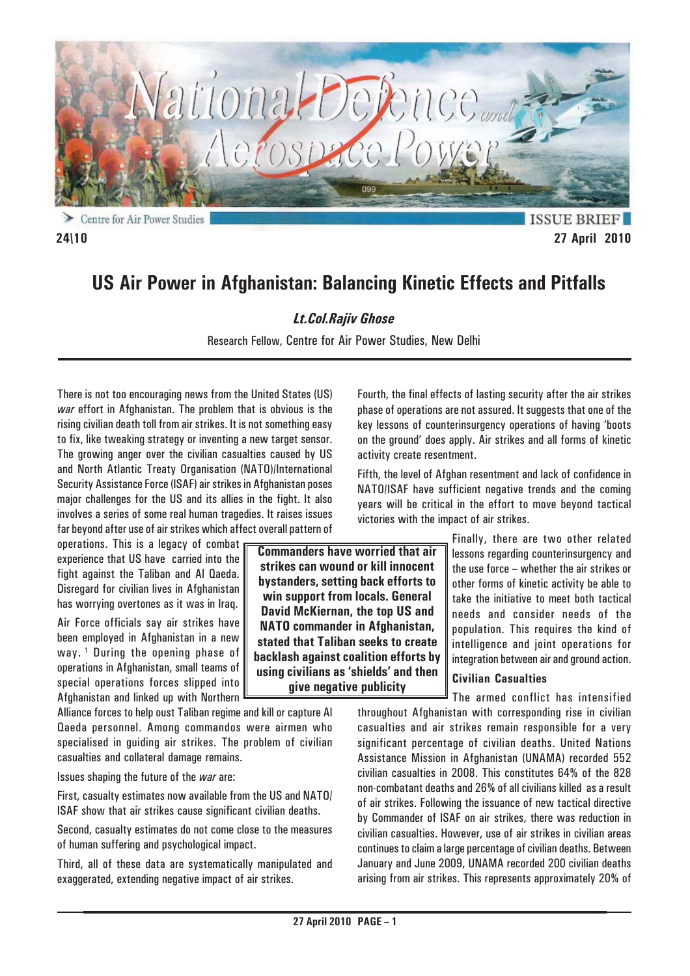

**ISSUE BRIEF 24\10 27 April 2010**

# **US Air Power in Afghanistan: Balancing Kinetic Effects and Pitfalls**

# *Lt.Col.Rajiv Ghose*

Research Fellow, Centre for Air Power Studies, New Delhi

There is not too encouraging news from the United States (US) *war* effort in Afghanistan. The problem that is obvious is the rising civilian death toll from air strikes. It is not something easy to fix, like tweaking strategy or inventing a new target sensor. The growing anger over the civilian casualties caused by US and North Atlantic Treaty Organisation (NATO)/International Security Assistance Force (ISAF) air strikes in Afghanistan poses major challenges for the US and its allies in the fight. It also involves a series of some real human tragedies. It raises issues far beyond after use of air strikes which affect overall pattern of

operations. This is a legacy of combat experience that US have carried into the fight against the Taliban and Al Qaeda. Disregard for civilian lives in Afghanistan has worrying overtones as it was in Iraq.

Air Force officials say air strikes have been employed in Afghanistan in a new way.<sup>1</sup> During the opening phase of operations in Afghanistan, small teams of special operations forces slipped into Afghanistan and linked up with Northern

Alliance forces to help oust Taliban regime and kill or capture Al Qaeda personnel. Among commandos were airmen who specialised in guiding air strikes. The problem of civilian casualties and collateral damage remains.

Issues shaping the future of the *war* are:

First, casualty estimates now available from the US and NATO/ ISAF show that air strikes cause significant civilian deaths.

Second, casualty estimates do not come close to the measures of human suffering and psychological impact.

Third, all of these data are systematically manipulated and exaggerated, extending negative impact of air strikes.

Fourth, the final effects of lasting security after the air strikes phase of operations are not assured. It suggests that one of the key lessons of counterinsurgency operations of having 'boots on the ground' does apply. Air strikes and all forms of kinetic activity create resentment.

Fifth, the level of Afghan resentment and lack of confidence in NATO/ISAF have sufficient negative trends and the coming years will be critical in the effort to move beyond tactical victories with the impact of air strikes.

> Finally, there are two other related lessons regarding counterinsurgency and the use force – whether the air strikes or other forms of kinetic activity be able to take the initiative to meet both tactical needs and consider needs of the population. This requires the kind of intelligence and joint operations for integration between air and ground action.

# **Civilian Casualties**

The armed conflict has intensified throughout Afghanistan with corresponding rise in civilian casualties and air strikes remain responsible for a very significant percentage of civilian deaths. United Nations Assistance Mission in Afghanistan (UNAMA) recorded 552 civilian casualties in 2008. This constitutes 64% of the 828 non-combatant deaths and 26% of all civilians killed as a result of air strikes. Following the issuance of new tactical directive by Commander of ISAF on air strikes, there was reduction in civilian casualties. However, use of air strikes in civilian areas continues to claim a large percentage of civilian deaths. Between January and June 2009, UNAMA recorded 200 civilian deaths arising from air strikes. This represents approximately 20% of

**Commanders have worried that air strikes can wound or kill innocent bystanders, setting back efforts to win support from locals. General David McKiernan, the top US and NATO commander in Afghanistan, stated that Taliban seeks to create backlash against coalition efforts by using civilians as 'shields' and then give negative publicity**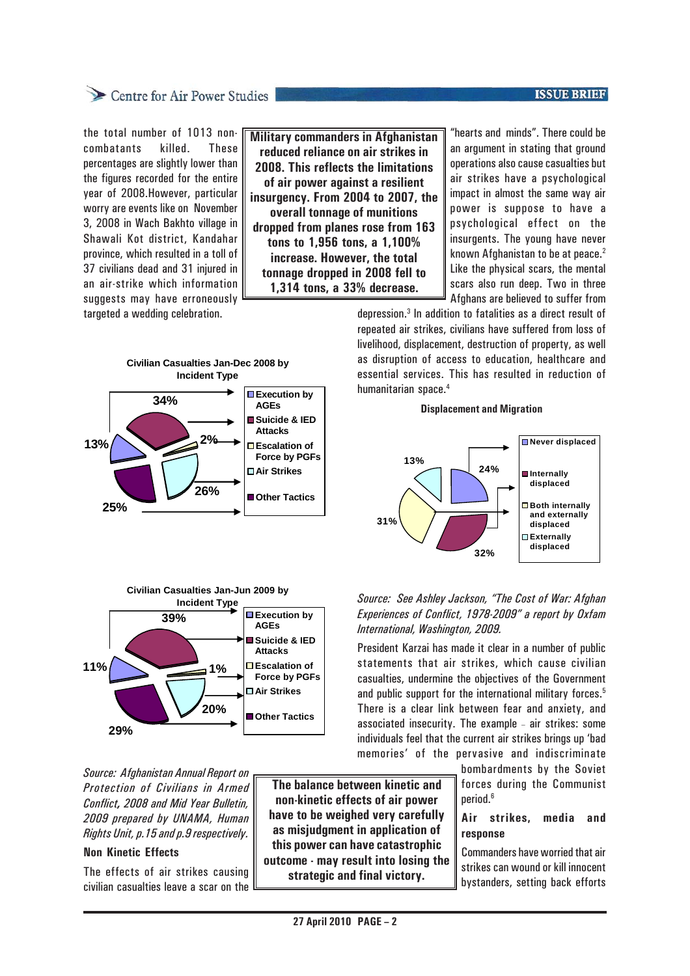# Centre for Air Power Studies

the total number of 1013 noncombatants killed. These percentages are slightly lower than the figures recorded for the entire year of 2008.However, particular worry are events like on November 3, 2008 in Wach Bakhto village in Shawali Kot district, Kandahar province, which resulted in a toll of 37 civilians dead and 31 injured in an air-strike which information suggests may have erroneously targeted a wedding celebration.

**Military commanders in Afghanistan reduced reliance on air strikes in 2008. This reflects the limitations of air power against a resilient insurgency. From 2004 to 2007, the overall tonnage of munitions dropped from planes rose from 163 tons to 1,956 tons, a 1,100% increase. However, the total tonnage dropped in 2008 fell to 1,314 tons, a 33% decrease.**

"hearts and minds". There could be an argument in stating that ground operations also cause casualties but air strikes have a psychological impact in almost the same way air power is suppose to have a psychological effect on the insurgents. The young have never known Afghanistan to be at peace. $2$ Like the physical scars, the mental scars also run deep. Two in three

Afghans are believed to suffer from

depression.3 In addition to fatalities as a direct result of repeated air strikes, civilians have suffered from loss of livelihood, displacement, destruction of property, as well as disruption of access to education, healthcare and essential services. This has resulted in reduction of humanitarian space.4





*Source: Afghanistan Annual Report on Protection of Civilians in Armed Conflict, 2008 and Mid Year Bulletin, 2009 prepared by UNAMA, Human Rights Unit, p.15 and p.9 respectively.*

### **Non Kinetic Effects**

The effects of air strikes causing civilian casualties leave a scar on the

**The balance between kinetic and non-kinetic effects of air power have to be weighed very carefully as misjudgment in application of this power can have catastrophic outcome - may result into losing the strategic and final victory.**

#### **Displacement and Migration**



### *Source: See Ashley Jackson, "The Cost of War: Afghan Experiences of Conflict, 1978-2009" a report by Oxfam International, Washington, 2009.*

President Karzai has made it clear in a number of public statements that air strikes, which cause civilian casualties, undermine the objectives of the Government and public support for the international military forces.<sup>5</sup> There is a clear link between fear and anxiety, and associated insecurity. The example - air strikes: some individuals feel that the current air strikes brings up 'bad memories' of the pervasive and indiscriminate

> bombardments by the Soviet forces during the Communist period.<sup>6</sup>

# **Air strikes, media and response**

Commanders have worried that air strikes can wound or kill innocent bystanders, setting back efforts

### **ISSUE BRIEF**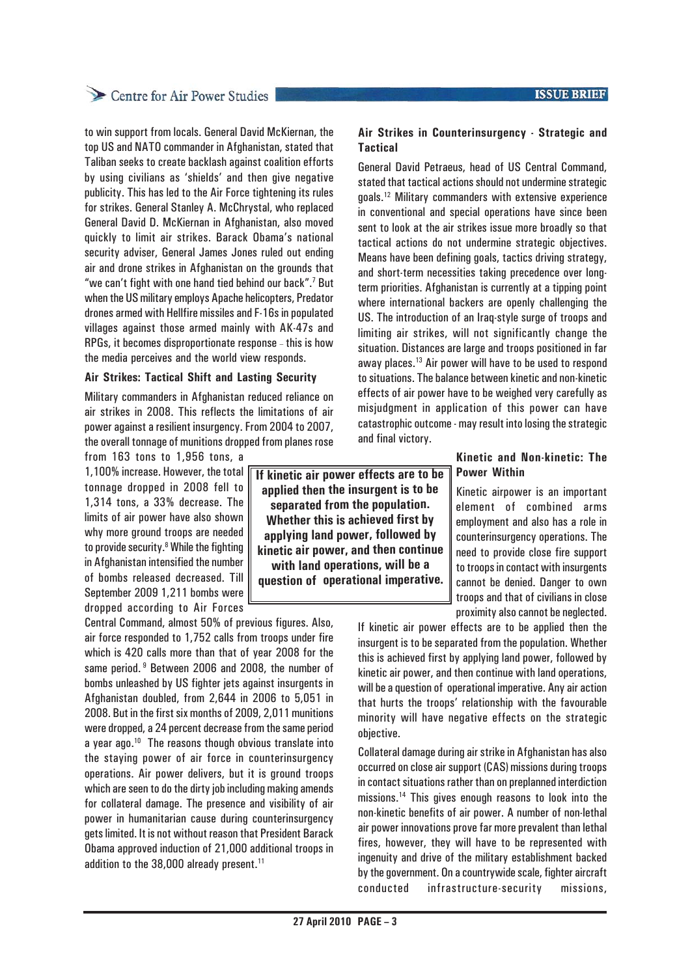# Centre for Air Power Studies

to win support from locals. General David McKiernan, the top US and NATO commander in Afghanistan, stated that Taliban seeks to create backlash against coalition efforts by using civilians as 'shields' and then give negative publicity. This has led to the Air Force tightening its rules for strikes. General Stanley A. McChrystal, who replaced General David D. McKiernan in Afghanistan, also moved quickly to limit air strikes. Barack Obama's national security adviser, General James Jones ruled out ending air and drone strikes in Afghanistan on the grounds that "we can't fight with one hand tied behind our back".<sup>7</sup> But when the US military employs Apache helicopters, Predator drones armed with Hellfire missiles and F-16s in populated villages against those armed mainly with AK-47s and RPGs, it becomes disproportionate response - this is how the media perceives and the world view responds.

#### **Air Strikes: Tactical Shift and Lasting Security**

Military commanders in Afghanistan reduced reliance on air strikes in 2008. This reflects the limitations of air power against a resilient insurgency. From 2004 to 2007, the overall tonnage of munitions dropped from planes rose

from 163 tons to 1,956 tons, a

1,100% increase. However, the total tonnage dropped in 2008 fell to 1,314 tons, a 33% decrease. The limits of air power have also shown why more ground troops are needed to provide security.<sup>8</sup> While the fighting in Afghanistan intensified the number of bombs released decreased. Till September 2009 1,211 bombs were dropped according to Air Forces

Central Command, almost 50% of previous figures. Also, air force responded to 1,752 calls from troops under fire which is 420 calls more than that of year 2008 for the same period. <sup>9</sup> Between 2006 and 2008, the number of bombs unleashed by US fighter jets against insurgents in Afghanistan doubled, from 2,644 in 2006 to 5,051 in 2008. But in the first six months of 2009, 2,011 munitions were dropped, a 24 percent decrease from the same period a year ago.10 The reasons though obvious translate into the staying power of air force in counterinsurgency operations. Air power delivers, but it is ground troops which are seen to do the dirty job including making amends for collateral damage. The presence and visibility of air power in humanitarian cause during counterinsurgency gets limited. It is not without reason that President Barack Obama approved induction of 21,000 additional troops in addition to the 38,000 already present.<sup>11</sup>

**If kinetic air power effects are to be applied then the insurgent is to be separated from the population. Whether this is achieved first by applying land power, followed by kinetic air power, and then continue with land operations, will be a question of operational imperative.**

### **Air Strikes in Counterinsurgency - Strategic and Tactical**

General David Petraeus, head of US Central Command, stated that tactical actions should not undermine strategic goals.12 Military commanders with extensive experience in conventional and special operations have since been sent to look at the air strikes issue more broadly so that tactical actions do not undermine strategic objectives. Means have been defining goals, tactics driving strategy, and short-term necessities taking precedence over longterm priorities. Afghanistan is currently at a tipping point where international backers are openly challenging the US. The introduction of an Iraq-style surge of troops and limiting air strikes, will not significantly change the situation. Distances are large and troops positioned in far away places.13 Air power will have to be used to respond to situations. The balance between kinetic and non-kinetic effects of air power have to be weighed very carefully as misjudgment in application of this power can have catastrophic outcome - may result into losing the strategic and final victory.

# **Kinetic and Non-kinetic: The Power Within**

Kinetic airpower is an important element of combined arms employment and also has a role in counterinsurgency operations. The need to provide close fire support to troops in contact with insurgents cannot be denied. Danger to own troops and that of civilians in close proximity also cannot be neglected.

If kinetic air power effects are to be applied then the insurgent is to be separated from the population. Whether this is achieved first by applying land power, followed by kinetic air power, and then continue with land operations, will be a question of operational imperative. Any air action that hurts the troops' relationship with the favourable minority will have negative effects on the strategic objective.

Collateral damage during air strike in Afghanistan has also occurred on close air support (CAS) missions during troops in contact situations rather than on preplanned interdiction missions.14 This gives enough reasons to look into the non-kinetic benefits of air power. A number of non-lethal air power innovations prove far more prevalent than lethal fires, however, they will have to be represented with ingenuity and drive of the military establishment backed by the government. On a countrywide scale, fighter aircraft conducted infrastructure-security missions,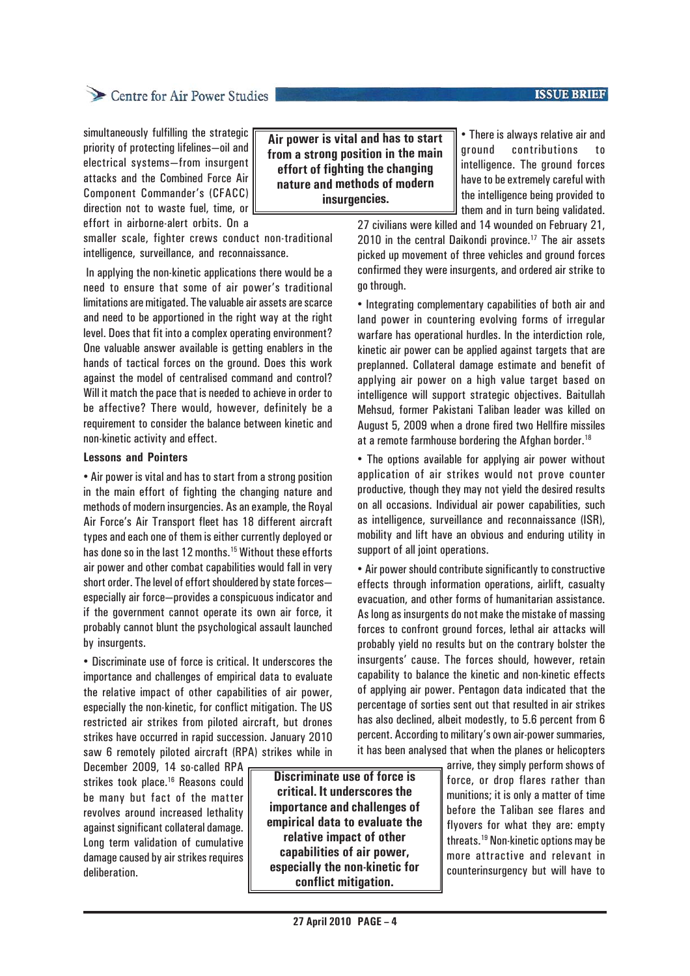### **ISSUE BRIEF**

# Centre for Air Power Studies

simultaneously fulfilling the strategic priority of protecting lifelines—oil and electrical systems—from insurgent attacks and the Combined Force Air Component Commander's (CFACC) direction not to waste fuel, time, or effort in airborne-alert orbits. On a

smaller scale, fighter crews conduct non-traditional intelligence, surveillance, and reconnaissance.

 In applying the non-kinetic applications there would be a need to ensure that some of air power's traditional limitations are mitigated. The valuable air assets are scarce and need to be apportioned in the right way at the right level. Does that fit into a complex operating environment? One valuable answer available is getting enablers in the hands of tactical forces on the ground. Does this work against the model of centralised command and control? Will it match the pace that is needed to achieve in order to be affective? There would, however, definitely be a requirement to consider the balance between kinetic and non-kinetic activity and effect.

#### **Lessons and Pointers**

• Air power is vital and has to start from a strong position in the main effort of fighting the changing nature and methods of modern insurgencies. As an example, the Royal Air Force's Air Transport fleet has 18 different aircraft types and each one of them is either currently deployed or has done so in the last 12 months.<sup>15</sup> Without these efforts air power and other combat capabilities would fall in very short order. The level of effort shouldered by state forces especially air force—provides a conspicuous indicator and if the government cannot operate its own air force, it probably cannot blunt the psychological assault launched by insurgents.

• Discriminate use of force is critical. It underscores the importance and challenges of empirical data to evaluate the relative impact of other capabilities of air power, especially the non-kinetic, for conflict mitigation. The US restricted air strikes from piloted aircraft, but drones strikes have occurred in rapid succession. January 2010 saw 6 remotely piloted aircraft (RPA) strikes while in

December 2009, 14 so-called RPA strikes took place.<sup>16</sup> Reasons could be many but fact of the matter revolves around increased lethality against significant collateral damage. Long term validation of cumulative damage caused by air strikes requires deliberation.

**Discriminate use of force is critical. It underscores the importance and challenges of empirical data to evaluate the relative impact of other capabilities of air power, especially the non-kinetic for conflict mitigation.**

**Air power is vital and has to start from a strong position in the main effort of fighting the changing nature and methods of modern insurgencies.**

• There is always relative air and ground contributions to intelligence. The ground forces have to be extremely careful with the intelligence being provided to them and in turn being validated.

27 civilians were killed and 14 wounded on February 21, 2010 in the central Daikondi province.<sup>17</sup> The air assets picked up movement of three vehicles and ground forces confirmed they were insurgents, and ordered air strike to go through.

• Integrating complementary capabilities of both air and land power in countering evolving forms of irregular warfare has operational hurdles. In the interdiction role, kinetic air power can be applied against targets that are preplanned. Collateral damage estimate and benefit of applying air power on a high value target based on intelligence will support strategic objectives. Baitullah Mehsud, former Pakistani Taliban leader was killed on August 5, 2009 when a drone fired two Hellfire missiles at a remote farmhouse bordering the Afghan border.<sup>18</sup>

• The options available for applying air power without application of air strikes would not prove counter productive, though they may not yield the desired results on all occasions. Individual air power capabilities, such as intelligence, surveillance and reconnaissance (ISR), mobility and lift have an obvious and enduring utility in support of all joint operations.

• Air power should contribute significantly to constructive effects through information operations, airlift, casualty evacuation, and other forms of humanitarian assistance. As long as insurgents do not make the mistake of massing forces to confront ground forces, lethal air attacks will probably yield no results but on the contrary bolster the insurgents' cause. The forces should, however, retain capability to balance the kinetic and non-kinetic effects of applying air power. Pentagon data indicated that the percentage of sorties sent out that resulted in air strikes has also declined, albeit modestly, to 5.6 percent from 6 percent. According to military's own air-power summaries, it has been analysed that when the planes or helicopters

> arrive, they simply perform shows of force, or drop flares rather than munitions; it is only a matter of time before the Taliban see flares and flyovers for what they are: empty threats.19 Non-kinetic options may be more attractive and relevant in counterinsurgency but will have to